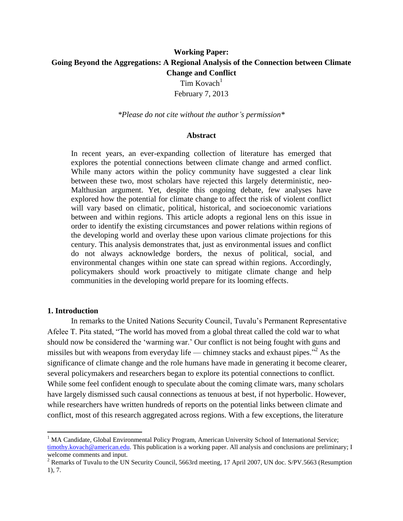# **Working Paper: Going Beyond the Aggregations: A Regional Analysis of the Connection between Climate Change and Conflict**

 $Tim Kovach<sup>1</sup>$ February 7, 2013

*\*Please do not cite without the author's permission\**

#### **Abstract**

In recent years, an ever-expanding collection of literature has emerged that explores the potential connections between climate change and armed conflict. While many actors within the policy community have suggested a clear link between these two, most scholars have rejected this largely deterministic, neo-Malthusian argument. Yet, despite this ongoing debate, few analyses have explored how the potential for climate change to affect the risk of violent conflict will vary based on climatic, political, historical, and socioeconomic variations between and within regions. This article adopts a regional lens on this issue in order to identify the existing circumstances and power relations within regions of the developing world and overlay these upon various climate projections for this century. This analysis demonstrates that, just as environmental issues and conflict do not always acknowledge borders, the nexus of political, social, and environmental changes within one state can spread within regions. Accordingly, policymakers should work proactively to mitigate climate change and help communities in the developing world prepare for its looming effects.

#### **1. Introduction**

 $\overline{a}$ 

In remarks to the United Nations Security Council, Tuvalu's Permanent Representative Afelee T. Pita stated, "The world has moved from a global threat called the cold war to what should now be considered the 'warming war.' Our conflict is not being fought with guns and missiles but with weapons from everyday life — chimney stacks and exhaust pipes."<sup>2</sup> As the significance of climate change and the role humans have made in generating it become clearer, several policymakers and researchers began to explore its potential connections to conflict. While some feel confident enough to speculate about the coming climate wars, many scholars have largely dismissed such causal connections as tenuous at best, if not hyperbolic. However, while researchers have written hundreds of reports on the potential links between climate and conflict, most of this research aggregated across regions. With a few exceptions, the literature

<sup>&</sup>lt;sup>1</sup> MA Candidate, Global Environmental Policy Program, American University School of International Service; [timothy.kovach@american.edu.](mailto:timothy.kovach@american.edu) This publication is a working paper. All analysis and conclusions are preliminary; I welcome comments and input.

<sup>&</sup>lt;sup>2</sup> Remarks of Tuvalu to the UN Security Council, 5663rd meeting, 17 April 2007, UN doc. S/PV.5663 (Resumption 1), 7.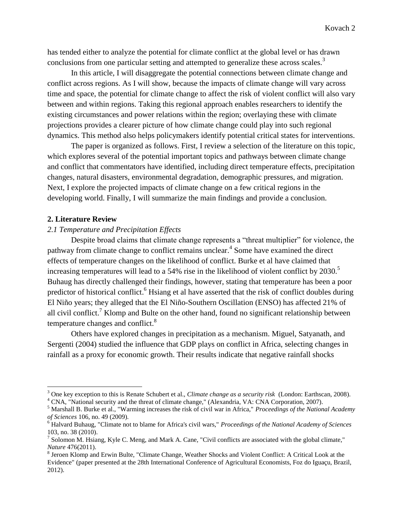has tended either to analyze the potential for climate conflict at the global level or has drawn conclusions from one particular setting and attempted to generalize these across scales.<sup>3</sup>

In this article, I will disaggregate the potential connections between climate change and conflict across regions. As I will show, because the impacts of climate change will vary across time and space, the potential for climate change to affect the risk of violent conflict will also vary between and within regions. Taking this regional approach enables researchers to identify the existing circumstances and power relations within the region; overlaying these with climate projections provides a clearer picture of how climate change could play into such regional dynamics. This method also helps policymakers identify potential critical states for interventions.

The paper is organized as follows. First, I review a selection of the literature on this topic, which explores several of the potential important topics and pathways between climate change and conflict that commentators have identified, including direct temperature effects, precipitation changes, natural disasters, environmental degradation, demographic pressures, and migration. Next, I explore the projected impacts of climate change on a few critical regions in the developing world. Finally, I will summarize the main findings and provide a conclusion.

## **2. Literature Review**

 $\overline{a}$ 

## *2.1 Temperature and Precipitation Effects*

Despite broad claims that climate change represents a "threat multiplier" for violence, the pathway from climate change to conflict remains unclear.<sup>4</sup> Some have examined the direct effects of temperature changes on the likelihood of conflict. Burke et al have claimed that increasing temperatures will lead to a 54% rise in the likelihood of violent conflict by  $2030$ .<sup>5</sup> Buhaug has directly challenged their findings, however, stating that temperature has been a poor predictor of historical conflict.<sup>6</sup> Hsiang et al have asserted that the risk of conflict doubles during El Niño years; they alleged that the El Niño-Southern Oscillation (ENSO) has affected 21% of all civil conflict.<sup>7</sup> Klomp and Bulte on the other hand, found no significant relationship between temperature changes and conflict.<sup>8</sup>

Others have explored changes in precipitation as a mechanism. Miguel, Satyanath, and Sergenti (2004) studied the influence that GDP plays on conflict in Africa, selecting changes in rainfall as a proxy for economic growth. Their results indicate that negative rainfall shocks

<sup>3</sup> One key exception to this is Renate Schubert et al., *Climate change as a security risk* (London: Earthscan, 2008).

<sup>&</sup>lt;sup>4</sup> CNA, "National security and the threat of climate change," (Alexandria, VA: CNA Corporation, 2007).

<sup>5</sup> Marshall B. Burke et al., "Warming increases the risk of civil war in Africa," *Proceedings of the National Academy of Sciences* 106, no. 49 (2009).

<sup>6</sup> Halvard Buhaug, "Climate not to blame for Africa's civil wars," *Proceedings of the National Academy of Sciences* 103, no. 38 (2010).

 $^7$  Solomon M. Hsiang, Kyle C. Meng, and Mark A. Cane, "Civil conflicts are associated with the global climate," *Nature* 476(2011).

<sup>&</sup>lt;sup>8</sup> Jeroen Klomp and Erwin Bulte, "Climate Change, Weather Shocks and Violent Conflict: A Critical Look at the Evidence" (paper presented at the 28th International Conference of Agricultural Economists, Foz do Iguaçu, Brazil, 2012).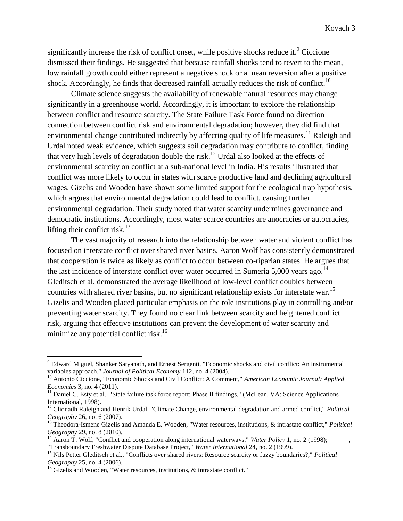significantly increase the risk of conflict onset, while positive shocks reduce it.<sup>9</sup> Ciccione dismissed their findings. He suggested that because rainfall shocks tend to revert to the mean, low rainfall growth could either represent a negative shock or a mean reversion after a positive shock. Accordingly, he finds that decreased rainfall actually reduces the risk of conflict.<sup>10</sup>

Climate science suggests the availability of renewable natural resources may change significantly in a greenhouse world. Accordingly, it is important to explore the relationship between conflict and resource scarcity. The State Failure Task Force found no direction connection between conflict risk and environmental degradation; however, they did find that environmental change contributed indirectly by affecting quality of life measures.<sup>11</sup> Raleigh and Urdal noted weak evidence, which suggests soil degradation may contribute to conflict, finding that very high levels of degradation double the risk.<sup>12</sup> Urdal also looked at the effects of environmental scarcity on conflict at a sub-national level in India. His results illustrated that conflict was more likely to occur in states with scarce productive land and declining agricultural wages. Gizelis and Wooden have shown some limited support for the ecological trap hypothesis, which argues that environmental degradation could lead to conflict, causing further environmental degradation. Their study noted that water scarcity undermines governance and democratic institutions. Accordingly, most water scarce countries are anocracies or autocracies, lifting their conflict risk.<sup>13</sup>

The vast majority of research into the relationship between water and violent conflict has focused on interstate conflict over shared river basins. Aaron Wolf has consistently demonstrated that cooperation is twice as likely as conflict to occur between co-riparian states. He argues that the last incidence of interstate conflict over water occurred in Sumeria 5,000 years ago.<sup>14</sup> Gleditsch et al. demonstrated the average likelihood of low-level conflict doubles between countries with shared river basins, but no significant relationship exists for interstate war.<sup>15</sup> Gizelis and Wooden placed particular emphasis on the role institutions play in controlling and/or preventing water scarcity. They found no clear link between scarcity and heightened conflict risk, arguing that effective institutions can prevent the development of water scarcity and minimize any potential conflict risk.<sup>16</sup>

<sup>9</sup> Edward Miguel, Shanker Satyanath, and Ernest Sergenti, "Economic shocks and civil conflict: An instrumental variables approach," *Journal of Political Economy* 112, no. 4 (2004).

<sup>10</sup> Antonio Ciccione, "Economic Shocks and Civil Conflict: A Comment," *American Economic Journal: Applied Economics* 3, no. 4 (2011).

<sup>&</sup>lt;sup>11</sup> Daniel C. Esty et al., "State failure task force report: Phase II findings," (McLean, VA: Science Applications International, 1998).

<sup>12</sup> Clionadh Raleigh and Henrik Urdal, "Climate Change, environmental degradation and armed conflict," *Political Geography* 26, no. 6 (2007).

<sup>13</sup> Theodora-Ismene Gizelis and Amanda E. Wooden, "Water resources, institutions, & intrastate conflict," *Political Geography* 29, no. 8 (2010).

<sup>&</sup>lt;sup>14</sup> Aaron T. Wolf, "Conflict and cooperation along international waterways," *Water Policy* 1, no. 2 (1998); ———, "Transboundary Freshwater Dispute Database Project," *Water International* 24, no. 2 (1999).

<sup>15</sup> Nils Petter Gleditsch et al., "Conflicts over shared rivers: Resource scarcity or fuzzy boundaries?," *Political Geography* 25, no. 4 (2006).

<sup>&</sup>lt;sup>16</sup> Gizelis and Wooden, "Water resources, institutions,  $\&$  intrastate conflict."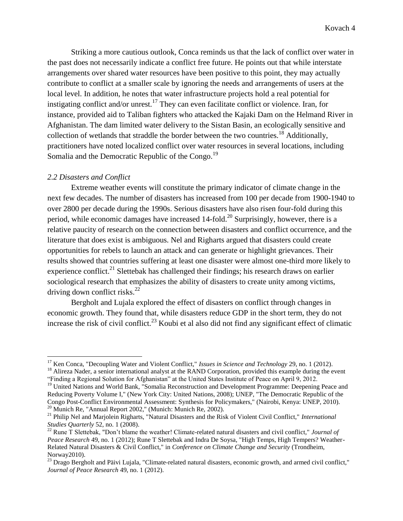Striking a more cautious outlook, Conca reminds us that the lack of conflict over water in the past does not necessarily indicate a conflict free future. He points out that while interstate arrangements over shared water resources have been positive to this point, they may actually contribute to conflict at a smaller scale by ignoring the needs and arrangements of users at the local level. In addition, he notes that water infrastructure projects hold a real potential for instigating conflict and/or unrest.<sup>17</sup> They can even facilitate conflict or violence. Iran, for instance, provided aid to Taliban fighters who attacked the Kajaki Dam on the Helmand River in Afghanistan. The dam limited water delivery to the Sistan Basin, an ecologically sensitive and collection of wetlands that straddle the border between the two countries.<sup>18</sup> Additionally, practitioners have noted localized conflict over water resources in several locations, including Somalia and the Democratic Republic of the Congo.<sup>19</sup>

#### *2.2 Disasters and Conflict*

 $\overline{a}$ 

Extreme weather events will constitute the primary indicator of climate change in the next few decades. The number of disasters has increased from 100 per decade from 1900-1940 to over 2800 per decade during the 1990s. Serious disasters have also risen four-fold during this period, while economic damages have increased  $14$ -fold.<sup>20</sup> Surprisingly, however, there is a relative paucity of research on the connection between disasters and conflict occurrence, and the literature that does exist is ambiguous. Nel and Righarts argued that disasters could create opportunities for rebels to launch an attack and can generate or highlight grievances. Their results showed that countries suffering at least one disaster were almost one-third more likely to experience conflict.<sup>21</sup> Slettebak has challenged their findings; his research draws on earlier sociological research that emphasizes the ability of disasters to create unity among victims, driving down conflict risks.<sup>22</sup>

Bergholt and Lujala explored the effect of disasters on conflict through changes in economic growth. They found that, while disasters reduce GDP in the short term, they do not increase the risk of civil conflict.<sup>23</sup> Koubi et al also did not find any significant effect of climatic

<sup>&</sup>lt;sup>17</sup> Ken Conca, "Decoupling Water and Violent Conflict," *Issues in Science and Technology* 29, no. 1 (2012).

<sup>&</sup>lt;sup>18</sup> Alireza Nader, a senior international analyst at the RAND Corporation, provided this example during the event "Finding a Regional Solution for Afghanistan" at the United States Institute of Peace on April 9, 2012.

<sup>&</sup>lt;sup>19</sup> United Nations and World Bank, "Somalia Reconstruction and Development Programme: Deepening Peace and Reducing Poverty Volume I," (New York City: United Nations, 2008); UNEP, "The Democratic Republic of the Congo Post-Conflict Environmental Assessment: Synthesis for Policymakers," (Nairobi, Kenya: UNEP, 2010). <sup>20</sup> Munich Re, "Annual Report 2002," (Munich: Munich Re, 2002).

<sup>21</sup> Philip Nel and Marjolein Righarts, "Natural Disasters and the Risk of Violent Civil Conflict," *International Studies Quarterly* 52, no. 1 (2008).

<sup>22</sup> Rune T Slettebak, "Don't blame the weather! Climate-related natural disasters and civil conflict," *Journal of Peace Research* 49, no. 1 (2012); Rune T Slettebak and Indra De Soysa, "High Temps, High Tempers? Weather-Related Natural Disasters & Civil Conflict," in *Conference on Climate Change and Security* (Trondheim, Norway2010).

<sup>&</sup>lt;sup>23</sup> Drago Bergholt and Päivi Lujala, "Climate-related natural disasters, economic growth, and armed civil conflict," *Journal of Peace Research* 49, no. 1 (2012).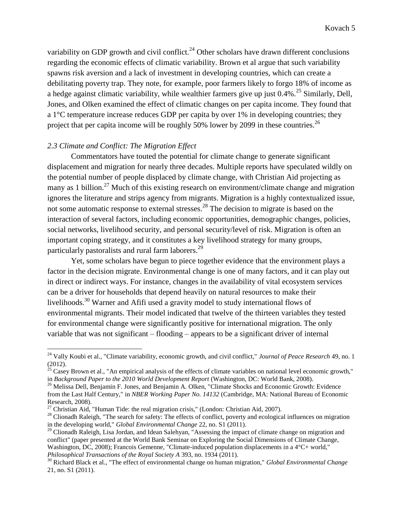variability on GDP growth and civil conflict.<sup>24</sup> Other scholars have drawn different conclusions regarding the economic effects of climatic variability. Brown et al argue that such variability spawns risk aversion and a lack of investment in developing countries, which can create a debilitating poverty trap. They note, for example, poor farmers likely to forgo 18% of income as a hedge against climatic variability, while wealthier farmers give up just 0.4%.<sup>25</sup> Similarly, Dell, Jones, and Olken examined the effect of climatic changes on per capita income. They found that a 1°C temperature increase reduces GDP per capita by over 1% in developing countries; they project that per capita income will be roughly 50% lower by 2099 in these countries.<sup>26</sup>

## *2.3 Climate and Conflict: The Migration Effect*

 $\overline{a}$ 

Commentators have touted the potential for climate change to generate significant displacement and migration for nearly three decades. Multiple reports have speculated wildly on the potential number of people displaced by climate change, with Christian Aid projecting as many as 1 billion.<sup>27</sup> Much of this existing research on environment/climate change and migration ignores the literature and strips agency from migrants. Migration is a highly contextualized issue, not some automatic response to external stresses.<sup>28</sup> The decision to migrate is based on the interaction of several factors, including economic opportunities, demographic changes, policies, social networks, livelihood security, and personal security/level of risk. Migration is often an important coping strategy, and it constitutes a key livelihood strategy for many groups, particularly pastoralists and rural farm laborers.<sup>29</sup>

Yet, some scholars have begun to piece together evidence that the environment plays a factor in the decision migrate. Environmental change is one of many factors, and it can play out in direct or indirect ways. For instance, changes in the availability of vital ecosystem services can be a driver for households that depend heavily on natural resources to make their livelihoods.<sup>30</sup> Warner and Afifi used a gravity model to study international flows of environmental migrants. Their model indicated that twelve of the thirteen variables they tested for environmental change were significantly positive for international migration. The only variable that was not significant – flooding – appears to be a significant driver of internal

<sup>24</sup> Vally Koubi et al., "Climate variability, economic growth, and civil conflict," *Journal of Peace Research* 49, no. 1 (2012).

 $^{25}$  Casey Brown et al., "An empirical analysis of the effects of climate variables on national level economic growth," in *Background Paper to the 2010 World Development Report* (Washington, DC: World Bank, 2008).

<sup>&</sup>lt;sup>26</sup> Melissa Dell, Benjamin F. Jones, and Benjamin A. Olken, "Climate Shocks and Economic Growth: Evidence from the Last Half Century," in *NBER Working Paper No. 14132* (Cambridge, MA: National Bureau of Economic Research, 2008).

 $27$  Christian Aid, "Human Tide: the real migration crisis," (London: Christian Aid, 2007).

<sup>&</sup>lt;sup>28</sup> Clionadh Raleigh, "The search for safety: The effects of conflict, poverty and ecological influences on migration in the developing world," *Global Environmental Change* 22, no. S1 (2011).

<sup>&</sup>lt;sup>29</sup> Clionadh Raleigh, Lisa Jordan, and Idean Salehyan, "Assessing the impact of climate change on migration and conflict" (paper presented at the World Bank Seminar on Exploring the Social Dimensions of Climate Change, Washington, DC, 2008); Francois Gemenne, "Climate-induced population displacements in a 4<sup>o</sup>C+ world," *Philosophical Transactions of the Royal Society A* 393, no. 1934 (2011).

<sup>30</sup> Richard Black et al., "The effect of environmental change on human migration," *Global Environmental Change* 21, no. S1 (2011).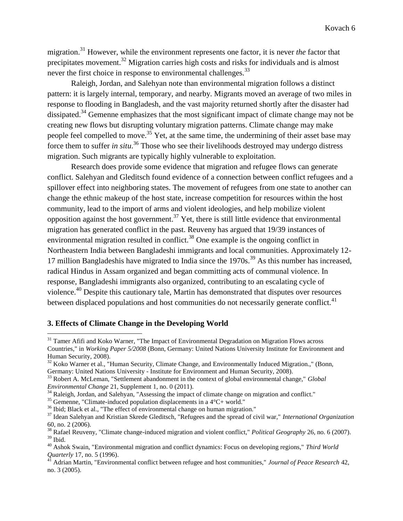migration.<sup>31</sup> However, while the environment represents one factor, it is never *the* factor that precipitates movement.<sup>32</sup> Migration carries high costs and risks for individuals and is almost never the first choice in response to environmental challenges.<sup>33</sup>

Raleigh, Jordan, and Salehyan note than environmental migration follows a distinct pattern: it is largely internal, temporary, and nearby. Migrants moved an average of two miles in response to flooding in Bangladesh, and the vast majority returned shortly after the disaster had dissipated.<sup>34</sup> Gemenne emphasizes that the most significant impact of climate change may not be creating new flows but disrupting voluntary migration patterns. Climate change may make people feel compelled to move.<sup>35</sup> Yet, at the same time, the undermining of their asset base may force them to suffer *in situ*. <sup>36</sup> Those who see their livelihoods destroyed may undergo distress migration. Such migrants are typically highly vulnerable to exploitation.

Research does provide some evidence that migration and refugee flows can generate conflict. Salehyan and Gleditsch found evidence of a connection between conflict refugees and a spillover effect into neighboring states. The movement of refugees from one state to another can change the ethnic makeup of the host state, increase competition for resources within the host community, lead to the import of arms and violent ideologies, and help mobilize violent opposition against the host government.<sup>37</sup> Yet, there is still little evidence that environmental migration has generated conflict in the past. Reuveny has argued that 19/39 instances of environmental migration resulted in conflict.<sup>38</sup> One example is the ongoing conflict in Northeastern India between Bangladeshi immigrants and local communities. Approximately 12- 17 million Bangladeshis have migrated to India since the  $1970s$ .<sup>39</sup> As this number has increased, radical Hindus in Assam organized and began committing acts of communal violence. In response, Bangladeshi immigrants also organized, contributing to an escalating cycle of violence.<sup>40</sup> Despite this cautionary tale, Martin has demonstrated that disputes over resources between displaced populations and host communities do not necessarily generate conflict.<sup>41</sup>

## **3. Effects of Climate Change in the Developing World**

<sup>&</sup>lt;sup>31</sup> Tamer Afifi and Koko Warner, "The Impact of Environmental Degradation on Migration Flows across Countries," in *Working Paper 5/2008* (Bonn, Germany: United Nations University Institute for Environment and Human Security, 2008).

 $32$  Koko Warner et al., "Human Security, Climate Change, and Environmentally Induced Migration.," (Bonn, Germany: United Nations University - Institute for Environment and Human Security, 2008).

<sup>33</sup> Robert A. McLeman, "Settlement abandonment in the context of global environmental change," *Global Environmental Change* 21, Supplement 1, no. 0 (2011).

<sup>&</sup>lt;sup>34</sup> Raleigh, Jordan, and Salehyan, "Assessing the impact of climate change on migration and conflict."

 $35$  Gemenne, "Climate-induced population displacements in a  $4^{\circ}$ C+ world."

<sup>&</sup>lt;sup>36</sup> Ibid; Black et al., "The effect of environmental change on human migration."

<sup>37</sup> Idean Salehyan and Kristian Skrede Gleditsch, "Refugees and the spread of civil war," *International Organization* 60, no. 2 (2006).

<sup>38</sup> Rafael Reuveny, "Climate change-induced migration and violent conflict," *Political Geography* 26, no. 6 (2007).  $39$  Ibid.

<sup>40</sup> Ashok Swain, "Environmental migration and conflict dynamics: Focus on developing regions," *Third World Quarterly* 17, no. 5 (1996).

<sup>&</sup>lt;sup>41</sup> Adrian Martin, "Environmental conflict between refugee and host communities," *Journal of Peace Research* 42, no. 3 (2005).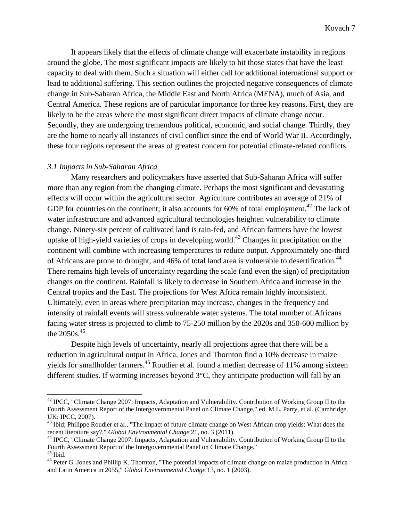It appears likely that the effects of climate change will exacerbate instability in regions around the globe. The most significant impacts are likely to hit those states that have the least capacity to deal with them. Such a situation will either call for additional international support or lead to additional suffering. This section outlines the projected negative consequences of climate change in Sub-Saharan Africa, the Middle East and North Africa (MENA), much of Asia, and Central America. These regions are of particular importance for three key reasons. First, they are likely to be the areas where the most significant direct impacts of climate change occur. Secondly, they are undergoing tremendous political, economic, and social change. Thirdly, they are the home to nearly all instances of civil conflict since the end of World War II. Accordingly, these four regions represent the areas of greatest concern for potential climate-related conflicts.

#### *3.1 Impacts in Sub-Saharan Africa*

 $\overline{a}$ 

Many researchers and policymakers have asserted that Sub-Saharan Africa will suffer more than any region from the changing climate. Perhaps the most significant and devastating effects will occur within the agricultural sector. Agriculture contributes an average of 21% of GDP for countries on the continent; it also accounts for  $60\%$  of total employment.<sup>42</sup> The lack of water infrastructure and advanced agricultural technologies heighten vulnerability to climate change. Ninety-six percent of cultivated land is rain-fed, and African farmers have the lowest uptake of high-yield varieties of crops in developing world.<sup>43</sup> Changes in precipitation on the continent will combine with increasing temperatures to reduce output. Approximately one-third of Africans are prone to drought, and 46% of total land area is vulnerable to desertification.<sup>44</sup> There remains high levels of uncertainty regarding the scale (and even the sign) of precipitation changes on the continent. Rainfall is likely to decrease in Southern Africa and increase in the Central tropics and the East. The projections for West Africa remain highly inconsistent. Ultimately, even in areas where precipitation may increase, changes in the frequency and intensity of rainfall events will stress vulnerable water systems. The total number of Africans facing water stress is projected to climb to 75-250 million by the 2020s and 350-600 million by the  $2050s.<sup>45</sup>$ 

Despite high levels of uncertainty, nearly all projections agree that there will be a reduction in agricultural output in Africa. Jones and Thornton find a 10% decrease in maize yields for smallholder farmers.<sup>46</sup> Roudier et al. found a median decrease of 11% among sixteen different studies. If warming increases beyond 3°C, they anticipate production will fall by an

<sup>&</sup>lt;sup>42</sup> IPCC, "Climate Change 2007: Impacts, Adaptation and Vulnerability. Contribution of Working Group II to the Fourth Assessment Report of the Intergovernmental Panel on Climate Change," ed. M.L. Parry, et al. (Cambridge, UK: IPCC, 2007).

<sup>&</sup>lt;sup>43</sup> Ibid; Philippe Roudier et al., "The impact of future climate change on West African crop yields: What does the recent literature say?," *Global Environmental Change* 21, no. 3 (2011).

<sup>44</sup> IPCC, "Climate Change 2007: Impacts, Adaptation and Vulnerability. Contribution of Working Group II to the Fourth Assessment Report of the Intergovernmental Panel on Climate Change."  $^{45}$  Ibid.

<sup>&</sup>lt;sup>46</sup> Peter G. Jones and Phillip K. Thornton, "The potential impacts of climate change on maize production in Africa and Latin America in 2055," *Global Environmental Change* 13, no. 1 (2003).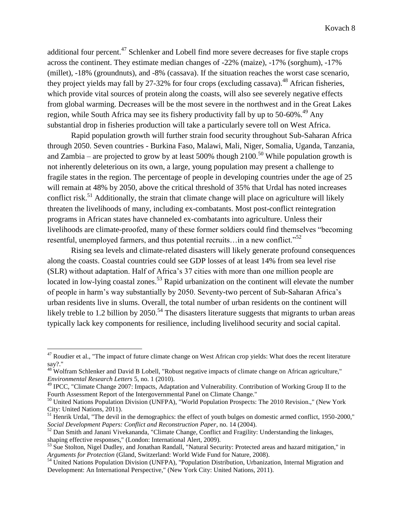additional four percent.<sup>47</sup> Schlenker and Lobell find more severe decreases for five staple crops across the continent. They estimate median changes of -22% (maize), -17% (sorghum), -17% (millet), -18% (groundnuts), and -8% (cassava). If the situation reaches the worst case scenario, they project yields may fall by  $27-32\%$  for four crops (excluding cassava).<sup>48</sup> African fisheries, which provide vital sources of protein along the coasts, will also see severely negative effects from global warming. Decreases will be the most severe in the northwest and in the Great Lakes region, while South Africa may see its fishery productivity fall by up to 50-60%.<sup>49</sup> Any substantial drop in fisheries production will take a particularly severe toll on West Africa.

Rapid population growth will further strain food security throughout Sub-Saharan Africa through 2050. Seven countries - Burkina Faso, Malawi, Mali, Niger, Somalia, Uganda, Tanzania, and Zambia – are projected to grow by at least 500% though  $2100$ .<sup>50</sup> While population growth is not inherently deleterious on its own, a large, young population may present a challenge to fragile states in the region. The percentage of people in developing countries under the age of 25 will remain at 48% by 2050, above the critical threshold of 35% that Urdal has noted increases conflict risk.<sup>51</sup> Additionally, the strain that climate change will place on agriculture will likely threaten the livelihoods of many, including ex-combatants. Most post-conflict reintegration programs in African states have channeled ex-combatants into agriculture. Unless their livelihoods are climate-proofed, many of these former soldiers could find themselves "becoming resentful, unemployed farmers, and thus potential recruits... in a new conflict." $52$ 

Rising sea levels and climate-related disasters will likely generate profound consequences along the coasts. Coastal countries could see GDP losses of at least 14% from sea level rise (SLR) without adaptation. Half of Africa's 37 cities with more than one million people are located in low-lying coastal zones.<sup>53</sup> Rapid urbanization on the continent will elevate the number of people in harm's way substantially by 2050. Seventy-two percent of Sub-Saharan Africa's urban residents live in slums. Overall, the total number of urban residents on the continent will likely treble to 1.2 billion by 2050.<sup>54</sup> The disasters literature suggests that migrants to urban areas typically lack key components for resilience, including livelihood security and social capital.

 $47$  Roudier et al., "The impact of future climate change on West African crop yields: What does the recent literature say?."

<sup>&</sup>lt;sup>48</sup> Wolfram Schlenker and David B Lobell, "Robust negative impacts of climate change on African agriculture," *Environmental Research Letters* 5, no. 1 (2010).

<sup>&</sup>lt;sup>49</sup> IPCC, "Climate Change 2007: Impacts, Adaptation and Vulnerability. Contribution of Working Group II to the Fourth Assessment Report of the Intergovernmental Panel on Climate Change."

<sup>&</sup>lt;sup>50</sup> United Nations Population Division (UNFPA), "World Population Prospects: The 2010 Revision.," (New York City: United Nations, 2011).

<sup>&</sup>lt;sup>51</sup> Henrik Urdal, "The devil in the demographics: the effect of youth bulges on domestic armed conflict, 1950-2000," *Social Development Papers: Conflict and Reconstruction Paper*, no. 14 (2004).

<sup>&</sup>lt;sup>52</sup> Dan Smith and Janani Vivekananda, "Climate Change, Conflict and Fragility: Understanding the linkages, shaping effective responses," (London: International Alert, 2009).

<sup>&</sup>lt;sup>53</sup> Sue Stolton, Nigel Dudley, and Jonathan Randall, "Natural Security: Protected areas and hazard mitigation," in *Arguments for Protection* (Gland, Switzerland: World Wide Fund for Nature, 2008).

<sup>&</sup>lt;sup>54</sup> United Nations Population Division (UNFPA), "Population Distribution, Urbanization, Internal Migration and Development: An International Perspective," (New York City: United Nations, 2011).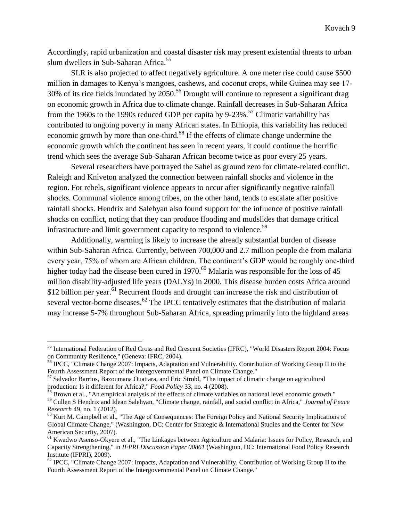Accordingly, rapid urbanization and coastal disaster risk may present existential threats to urban slum dwellers in Sub-Saharan Africa.<sup>55</sup>

SLR is also projected to affect negatively agriculture. A one meter rise could cause \$500 million in damages to Kenya's mangoes, cashews, and coconut crops, while Guinea may see 17-  $30\%$  of its rice fields inundated by 2050.<sup>56</sup> Drought will continue to represent a significant drag on economic growth in Africa due to climate change. Rainfall decreases in Sub-Saharan Africa from the 1960s to the 1990s reduced GDP per capita by 9-23%.<sup>57</sup> Climatic variability has contributed to ongoing poverty in many African states. In Ethiopia, this variability has reduced economic growth by more than one-third.<sup>58</sup> If the effects of climate change undermine the economic growth which the continent has seen in recent years, it could continue the horrific trend which sees the average Sub-Saharan African become twice as poor every 25 years.

Several researchers have portrayed the Sahel as ground zero for climate-related conflict. Raleigh and Kniveton analyzed the connection between rainfall shocks and violence in the region. For rebels, significant violence appears to occur after significantly negative rainfall shocks. Communal violence among tribes, on the other hand, tends to escalate after positive rainfall shocks. Hendrix and Salehyan also found support for the influence of positive rainfall shocks on conflict, noting that they can produce flooding and mudslides that damage critical infrastructure and limit government capacity to respond to violence.<sup>59</sup>

Additionally, warming is likely to increase the already substantial burden of disease within Sub-Saharan Africa. Currently, between 700,000 and 2.7 million people die from malaria every year, 75% of whom are African children. The continent's GDP would be roughly one-third higher today had the disease been cured in 1970.<sup>60</sup> Malaria was responsible for the loss of 45 million disability-adjusted life years (DALYs) in 2000. This disease burden costs Africa around \$12 billion per year.<sup>61</sup> Recurrent floods and drought can increase the risk and distribution of several vector-borne diseases.<sup>62</sup> The IPCC tentatively estimates that the distribution of malaria may increase 5-7% throughout Sub-Saharan Africa, spreading primarily into the highland areas

<sup>55</sup> International Federation of Red Cross and Red Crescent Societies (IFRC), "World Disasters Report 2004: Focus on Community Resilience," (Geneva: IFRC, 2004).

<sup>56</sup> IPCC, "Climate Change 2007: Impacts, Adaptation and Vulnerability. Contribution of Working Group II to the Fourth Assessment Report of the Intergovernmental Panel on Climate Change."

<sup>57</sup> Salvador Barrios, Bazoumana Ouattara, and Eric Strobl, "The impact of climatic change on agricultural production: Is it different for Africa?," *Food Policy* 33, no. 4 (2008).

<sup>&</sup>lt;sup>58</sup> Brown et al., "An empirical analysis of the effects of climate variables on national level economic growth." <sup>59</sup> Cullen S Hendrix and Idean Salehyan, "Climate change, rainfall, and social conflict in Africa," *Journal of Peace Research* 49, no. 1 (2012).

<sup>&</sup>lt;sup>60</sup> Kurt M. Campbell et al., "The Age of Consequences: The Foreign Policy and National Security Implications of Global Climate Change," (Washington, DC: Center for Strategic & International Studies and the Center for New American Security, 2007).

<sup>&</sup>lt;sup>61</sup> Kwadwo Asenso-Okyere et al., "The Linkages between Agriculture and Malaria: Issues for Policy, Research, and Capacity Strengthening," in *IFPRI Discussion Paper 00861* (Washington, DC: International Food Policy Research Institute (IFPRI), 2009).

<sup>&</sup>lt;sup>62</sup> IPCC, "Climate Change 2007: Impacts, Adaptation and Vulnerability. Contribution of Working Group II to the Fourth Assessment Report of the Intergovernmental Panel on Climate Change."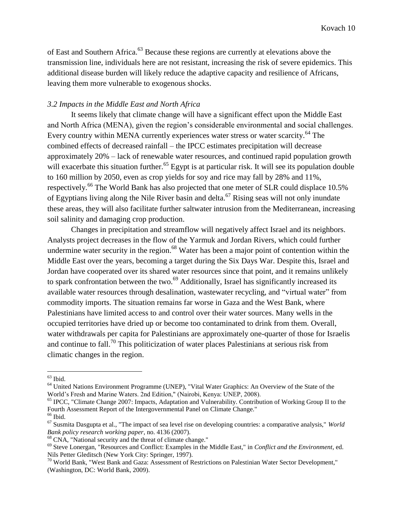of East and Southern Africa.<sup>63</sup> Because these regions are currently at elevations above the transmission line, individuals here are not resistant, increasing the risk of severe epidemics. This additional disease burden will likely reduce the adaptive capacity and resilience of Africans, leaving them more vulnerable to exogenous shocks.

# *3.2 Impacts in the Middle East and North Africa*

It seems likely that climate change will have a significant effect upon the Middle East and North Africa (MENA), given the region's considerable environmental and social challenges. Every country within MENA currently experiences water stress or water scarcity.<sup>64</sup> The combined effects of decreased rainfall – the IPCC estimates precipitation will decrease approximately 20% – lack of renewable water resources, and continued rapid population growth will exacerbate this situation further.<sup>65</sup> Egypt is at particular risk. It will see its population double to 160 million by 2050, even as crop yields for soy and rice may fall by 28% and 11%, respectively.<sup>66</sup> The World Bank has also projected that one meter of SLR could displace 10.5% of Egyptians living along the Nile River basin and delta.<sup>67</sup> Rising seas will not only inundate these areas, they will also facilitate further saltwater intrusion from the Mediterranean, increasing soil salinity and damaging crop production.

Changes in precipitation and streamflow will negatively affect Israel and its neighbors. Analysts project decreases in the flow of the Yarmuk and Jordan Rivers, which could further undermine water security in the region.<sup>68</sup> Water has been a major point of contention within the Middle East over the years, becoming a target during the Six Days War. Despite this, Israel and Jordan have cooperated over its shared water resources since that point, and it remains unlikely to spark confrontation between the two.<sup>69</sup> Additionally, Israel has significantly increased its available water resources through desalination, wastewater recycling, and "virtual water" from commodity imports. The situation remains far worse in Gaza and the West Bank, where Palestinians have limited access to and control over their water sources. Many wells in the occupied territories have dried up or become too contaminated to drink from them. Overall, water withdrawals per capita for Palestinians are approximately one-quarter of those for Israelis and continue to fall.<sup>70</sup> This politicization of water places Palestinians at serious risk from climatic changes in the region.

 $63$  Ibid.

<sup>&</sup>lt;sup>64</sup> United Nations Environment Programme (UNEP), "Vital Water Graphics: An Overview of the State of the World's Fresh and Marine Waters. 2nd Edition," (Nairobi, Kenya: UNEP, 2008).

<sup>&</sup>lt;sup>65</sup> IPCC, "Climate Change 2007: Impacts, Adaptation and Vulnerability. Contribution of Working Group II to the Fourth Assessment Report of the Intergovernmental Panel on Climate Change."

 $\rm ^{66}$  Ibid.

<sup>67</sup> Susmita Dasgupta et al., "The impact of sea level rise on developing countries: a comparative analysis," *World Bank policy research working paper*, no. 4136 (2007).

<sup>68</sup> CNA, "National security and the threat of climate change."

<sup>69</sup> Steve Lonergan, "Resources and Conflict: Examples in the Middle East," in *Conflict and the Environment*, ed. Nils Petter Gleditsch (New York City: Springer, 1997).

<sup>70</sup> World Bank, "West Bank and Gaza: Assessment of Restrictions on Palestinian Water Sector Development," (Washington, DC: World Bank, 2009).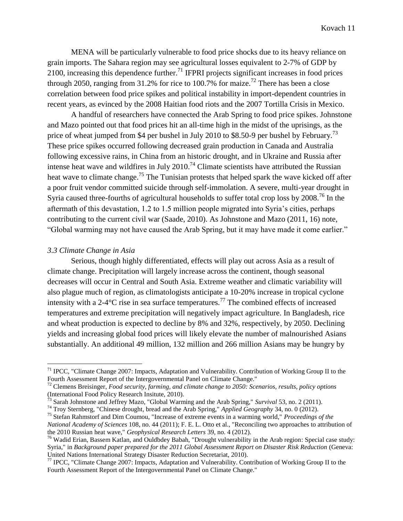MENA will be particularly vulnerable to food price shocks due to its heavy reliance on grain imports. The Sahara region may see agricultural losses equivalent to 2-7% of GDP by 2100, increasing this dependence further.<sup>71</sup> IFPRI projects significant increases in food prices through 2050, ranging from 31.2% for rice to 100.7% for maize.<sup>72</sup> There has been a close correlation between food price spikes and political instability in import-dependent countries in recent years, as evinced by the 2008 Haitian food riots and the 2007 Tortilla Crisis in Mexico.

A handful of researchers have connected the Arab Spring to food price spikes. Johnstone and Mazo pointed out that food prices hit an all-time high in the midst of the uprisings, as the price of wheat jumped from \$4 per bushel in July 2010 to \$8.50-9 per bushel by February.<sup>73</sup> These price spikes occurred following decreased grain production in Canada and Australia following excessive rains, in China from an historic drought, and in Ukraine and Russia after intense heat wave and wildfires in July 2010.<sup>74</sup> Climate scientists have attributed the Russian heat wave to climate change.<sup>75</sup> The Tunisian protests that helped spark the wave kicked off after a poor fruit vendor committed suicide through self-immolation. A severe, multi-year drought in Syria caused three-fourths of agricultural households to suffer total crop loss by 2008.<sup>76</sup> In the aftermath of this devastation, 1.2 to 1.5 million people migrated into Syria's cities, perhaps contributing to the current civil war (Saade, 2010). As Johnstone and Mazo (2011, 16) note, "Global warming may not have caused the Arab Spring, but it may have made it come earlier."

# *3.3 Climate Change in Asia*

 $\overline{a}$ 

Serious, though highly differentiated, effects will play out across Asia as a result of climate change. Precipitation will largely increase across the continent, though seasonal decreases will occur in Central and South Asia. Extreme weather and climatic variability will also plague much of region, as climatologists anticipate a 10-20% increase in tropical cyclone intensity with a 2-4 $\mathrm{C}$  rise in sea surface temperatures.<sup>77</sup> The combined effects of increased temperatures and extreme precipitation will negatively impact agriculture. In Bangladesh, rice and wheat production is expected to decline by 8% and 32%, respectively, by 2050. Declining yields and increasing global food prices will likely elevate the number of malnourished Asians substantially. An additional 49 million, 132 million and 266 million Asians may be hungry by

<sup>74</sup> Troy Sternberg, "Chinese drought, bread and the Arab Spring," *Applied Geography* 34, no. 0 (2012).

 $71$  IPCC, "Climate Change 2007: Impacts, Adaptation and Vulnerability. Contribution of Working Group II to the Fourth Assessment Report of the Intergovernmental Panel on Climate Change."

<sup>72</sup> Clemens Breisinger, *Food security, farming, and climate change to 2050: Scenarios, results, policy options* (International Food Policy Research Insitute, 2010).

<sup>73</sup> Sarah Johnstone and Jeffrey Mazo, "Global Warming and the Arab Spring," *Survival* 53, no. 2 (2011).

<sup>75</sup> Stefan Rahmstorf and Dim Coumou, "Increase of extreme events in a warming world," *Proceedings of the National Academy of Sciences* 108, no. 44 (2011); F. E. L. Otto et al., "Reconciling two approaches to attribution of the 2010 Russian heat wave," *Geophysical Research Letters* 39, no. 4 (2012).

<sup>76</sup> Wadid Erian, Bassem Katlan, and Ouldbdey Babah, "Drought vulnerability in the Arab region: Special case study: Syria," in *Background paper prepared for the 2011 Global Assessment Report on Disaster Risk Reduction* (Geneva: United Nations International Strategy Disaster Reduction Secretariat, 2010).

<sup>&</sup>lt;sup>77</sup> IPCC, "Climate Change 2007: Impacts, Adaptation and Vulnerability. Contribution of Working Group II to the Fourth Assessment Report of the Intergovernmental Panel on Climate Change."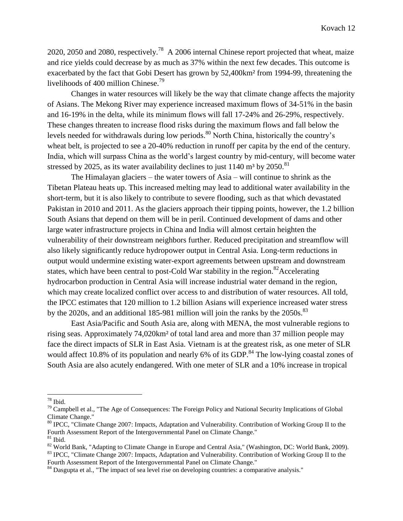2020, 2050 and 2080, respectively.<sup>78</sup> A 2006 internal Chinese report projected that wheat, maize and rice yields could decrease by as much as 37% within the next few decades. This outcome is exacerbated by the fact that Gobi Desert has grown by 52,400km² from 1994-99, threatening the livelihoods of 400 million Chinese.<sup>79</sup>

Changes in water resources will likely be the way that climate change affects the majority of Asians. The Mekong River may experience increased maximum flows of 34-51% in the basin and 16-19% in the delta, while its minimum flows will fall 17-24% and 26-29%, respectively. These changes threaten to increase flood risks during the maximum flows and fall below the levels needed for withdrawals during low periods.<sup>80</sup> North China, historically the country's wheat belt, is projected to see a 20-40% reduction in runoff per capita by the end of the century. India, which will surpass China as the world's largest country by mid-century, will become water stressed by 2025, as its water availability declines to just  $1140 \text{ m}^3$  by 2050.<sup>81</sup>

The Himalayan glaciers – the water towers of Asia – will continue to shrink as the Tibetan Plateau heats up. This increased melting may lead to additional water availability in the short-term, but it is also likely to contribute to severe flooding, such as that which devastated Pakistan in 2010 and 2011. As the glaciers approach their tipping points, however, the 1.2 billion South Asians that depend on them will be in peril. Continued development of dams and other large water infrastructure projects in China and India will almost certain heighten the vulnerability of their downstream neighbors further. Reduced precipitation and streamflow will also likely significantly reduce hydropower output in Central Asia. Long-term reductions in output would undermine existing water-export agreements between upstream and downstream states, which have been central to post-Cold War stability in the region.<sup>82</sup>Accelerating hydrocarbon production in Central Asia will increase industrial water demand in the region, which may create localized conflict over access to and distribution of water resources. All told, the IPCC estimates that 120 million to 1.2 billion Asians will experience increased water stress by the 2020s, and an additional 185-981 million will join the ranks by the 2050s.<sup>83</sup>

East Asia/Pacific and South Asia are, along with MENA, the most vulnerable regions to rising seas. Approximately 74,020km² of total land area and more than 37 million people may face the direct impacts of SLR in East Asia. Vietnam is at the greatest risk, as one meter of SLR would affect 10.8% of its population and nearly 6% of its GDP. $^{84}$  The low-lying coastal zones of South Asia are also acutely endangered. With one meter of SLR and a 10% increase in tropical

 $78$  Ibid.

<sup>&</sup>lt;sup>79</sup> Campbell et al., "The Age of Consequences: The Foreign Policy and National Security Implications of Global Climate Change."

<sup>&</sup>lt;sup>80</sup> IPCC, "Climate Change 2007: Impacts, Adaptation and Vulnerability. Contribution of Working Group II to the Fourth Assessment Report of the Intergovernmental Panel on Climate Change."

 $81$  Ibid.

<sup>&</sup>lt;sup>82</sup> World Bank, "Adapting to Climate Change in Europe and Central Asia," (Washington, DC: World Bank, 2009). <sup>83</sup> IPCC, "Climate Change 2007: Impacts, Adaptation and Vulnerability. Contribution of Working Group II to the

Fourth Assessment Report of the Intergovernmental Panel on Climate Change."

<sup>&</sup>lt;sup>84</sup> Dasgupta et al., "The impact of sea level rise on developing countries: a comparative analysis."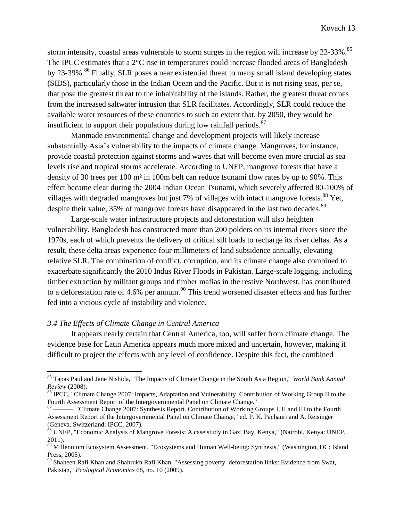storm intensity, coastal areas vulnerable to storm surges in the region will increase by 23-33%.<sup>85</sup> The IPCC estimates that a 2<sup>o</sup>C rise in temperatures could increase flooded areas of Bangladesh by 23-39%.<sup>86</sup> Finally, SLR poses a near existential threat to many small island developing states (SIDS), particularly those in the Indian Ocean and the Pacific. But it is not rising seas, per se, that pose the greatest threat to the inhabitability of the islands. Rather, the greatest threat comes from the increased saltwater intrusion that SLR facilitates. Accordingly, SLR could reduce the available water resources of these countries to such an extent that, by 2050, they would be insufficient to support their populations during low rainfall periods. $87$ 

Manmade environmental change and development projects will likely increase substantially Asia's vulnerability to the impacts of climate change. Mangroves, for instance, provide coastal protection against storms and waves that will become even more crucial as sea levels rise and tropical storms accelerate. According to UNEP, mangrove forests that have a density of 30 trees per 100 m² in 100m belt can reduce tsunami flow rates by up to 90%. This effect became clear during the 2004 Indian Ocean Tsunami, which severely affected 80-100% of villages with degraded mangroves but just 7% of villages with intact mangrove forests.<sup>88</sup> Yet, despite their value, 35% of mangrove forests have disappeared in the last two decades.<sup>89</sup>

Large-scale water infrastructure projects and deforestation will also heighten vulnerability. Bangladesh has constructed more than 200 polders on its internal rivers since the 1970s, each of which prevents the delivery of critical silt loads to recharge its river deltas. As a result, these delta areas experience four millimeters of land subsidence annually, elevating relative SLR. The combination of conflict, corruption, and its climate change also combined to exacerbate significantly the 2010 Indus River Floods in Pakistan. Large-scale logging, including timber extraction by militant groups and timber mafias in the restive Northwest, has contributed to a deforestation rate of 4.6% per annum.<sup>90</sup> This trend worsened disaster effects and has further fed into a vicious cycle of instability and violence.

# *3.4 The Effects of Climate Change in Central America*

 $\overline{a}$ 

It appears nearly certain that Central America, too, will suffer from climate change. The evidence base for Latin America appears much more mixed and uncertain, however, making it difficult to project the effects with any level of confidence. Despite this fact, the combined

<sup>85</sup> Tapas Paul and Jane Nishida, "The Impacts of Climate Change in the South Asia Region," *World Bank Annual Review* (2008).

<sup>&</sup>lt;sup>86</sup> IPCC, "Climate Change 2007: Impacts, Adaptation and Vulnerability. Contribution of Working Group II to the Fourth Assessment Report of the Intergovernmental Panel on Climate Change."

<sup>&</sup>lt;sup>87</sup> ——, "Climate Change 2007: Synthesis Report. Contribution of Working Groups I, II and III to the Fourth Assessment Report of the Intergovernmental Panel on Climate Change," ed. P. K. Pachauri and A. Reisinger (Geneva, Switzerland: IPCC, 2007).

<sup>88</sup> UNEP, "Economic Analysis of Mangrove Forests: A case study in Gazi Bay, Kenya," (Nairobi, Kenya: UNEP, 2011).

<sup>89</sup> Millennium Ecosystem Assessment, "Ecosystems and Human Well-being: Synthesis," (Washington, DC: Island Press, 2005).

<sup>90</sup> Shaheen Rafi Khan and Shahrukh Rafi Khan, "Assessing poverty–deforestation links: Evidence from Swat, Pakistan," *Ecological Economics* 68, no. 10 (2009).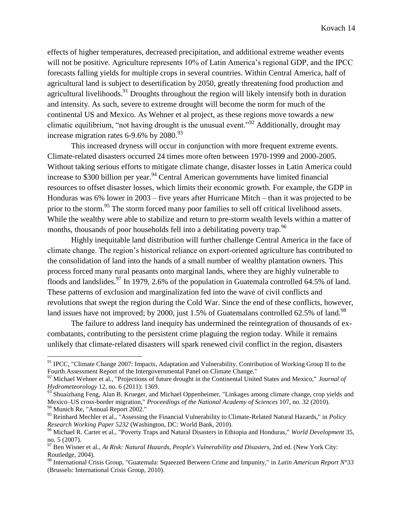effects of higher temperatures, decreased precipitation, and additional extreme weather events will not be positive. Agriculture represents 10% of Latin America's regional GDP, and the IPCC forecasts falling yields for multiple crops in several countries. Within Central America, half of agricultural land is subject to desertification by 2050, greatly threatening food production and agricultural livelihoods.<sup>91</sup> Droughts throughout the region will likely intensify both in duration and intensity. As such, severe to extreme drought will become the norm for much of the continental US and Mexico. As Wehner et al project, as these regions move towards a new climatic equilibrium, "not having drought is the unusual event."<sup>92</sup> Additionally, drought may increase migration rates  $6-9.6\%$  by  $2080.<sup>93</sup>$ 

This increased dryness will occur in conjunction with more frequent extreme events. Climate-related disasters occurred 24 times more often between 1970-1999 and 2000-2005. Without taking serious efforts to mitigate climate change, disaster losses in Latin America could increase to \$300 billion per year.<sup>94</sup> Central American governments have limited financial resources to offset disaster losses, which limits their economic growth. For example, the GDP in Honduras was 6% lower in 2003 – five years after Hurricane Mitch – than it was projected to be prior to the storm.<sup>95</sup> The storm forced many poor families to sell off critical livelihood assets. While the wealthy were able to stabilize and return to pre-storm wealth levels within a matter of months, thousands of poor households fell into a debilitating poverty trap.<sup>96</sup>

Highly inequitable land distribution will further challenge Central America in the face of climate change. The region's historical reliance on export-oriented agriculture has contributed to the consolidation of land into the hands of a small number of wealthy plantation owners. This process forced many rural peasants onto marginal lands, where they are highly vulnerable to floods and landslides.<sup>97</sup> In 1979, 2.6% of the population in Guatemala controlled 64.5% of land. These patterns of exclusion and marginalization fed into the wave of civil conflicts and revolutions that swept the region during the Cold War. Since the end of these conflicts, however, land issues have not improved; by 2000, just  $1.5\%$  of Guatemalans controlled 62.5% of land.<sup>98</sup>

The failure to address land inequity has undermined the reintegration of thousands of excombatants, contributing to the persistent crime plaguing the region today. While it remains unlikely that climate-related disasters will spark renewed civil conflict in the region, disasters

<sup>&</sup>lt;sup>91</sup> IPCC, "Climate Change 2007: Impacts, Adaptation and Vulnerability. Contribution of Working Group II to the Fourth Assessment Report of the Intergovernmental Panel on Climate Change."

<sup>92</sup> Michael Wehner et al., "Projections of future drought in the Continental United States and Mexico," *Journal of Hydrometeorology* 12, no. 6 (2011): 1369.

<sup>93</sup> Shuaizhang Feng, Alan B. Krueger, and Michael Oppenheimer, "Linkages among climate change, crop yields and Mexico–US cross-border migration," *Proceedings of the National Academy of Sciences* 107, no. 32 (2010). <sup>94</sup> Munich Re, "Annual Report 2002."

<sup>95</sup> Reinhard Mechler et al., "Assessing the Financial Vulnerability to Climate-Related Natural Hazards," in *Policy Research Working Paper 5232* (Washington, DC: World Bank, 2010).

<sup>96</sup> Michael R. Carter et al., "Poverty Traps and Natural Disasters in Ethiopia and Honduras," *World Development* 35, no. 5 (2007).

<sup>97</sup> Ben Wisner et al., *At Risk: Natural Hazards, People's Vulnerability and Disasters*, 2nd ed. (New York City: Routledge, 2004).

<sup>98</sup> International Crisis Group, "Guatemala: Squeezed Between Crime and Impunity," in *Latin American Report N°33* (Brussels: International Crisis Group, 2010).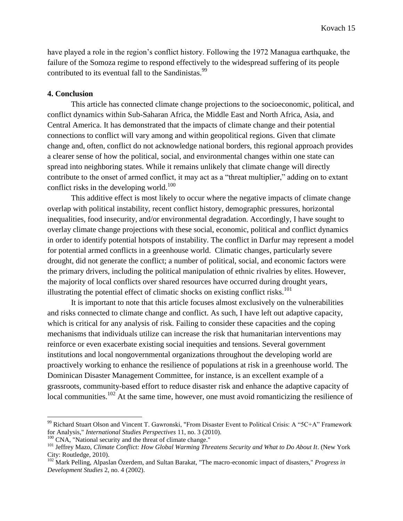have played a role in the region's conflict history. Following the 1972 Managua earthquake, the failure of the Somoza regime to respond effectively to the widespread suffering of its people contributed to its eventual fall to the Sandinistas.<sup>99</sup>

## **4. Conclusion**

This article has connected climate change projections to the socioeconomic, political, and conflict dynamics within Sub-Saharan Africa, the Middle East and North Africa, Asia, and Central America. It has demonstrated that the impacts of climate change and their potential connections to conflict will vary among and within geopolitical regions. Given that climate change and, often, conflict do not acknowledge national borders, this regional approach provides a clearer sense of how the political, social, and environmental changes within one state can spread into neighboring states. While it remains unlikely that climate change will directly contribute to the onset of armed conflict, it may act as a "threat multiplier," adding on to extant conflict risks in the developing world.<sup>100</sup>

This additive effect is most likely to occur where the negative impacts of climate change overlap with political instability, recent conflict history, demographic pressures, horizontal inequalities, food insecurity, and/or environmental degradation. Accordingly, I have sought to overlay climate change projections with these social, economic, political and conflict dynamics in order to identify potential hotspots of instability. The conflict in Darfur may represent a model for potential armed conflicts in a greenhouse world. Climatic changes, particularly severe drought, did not generate the conflict; a number of political, social, and economic factors were the primary drivers, including the political manipulation of ethnic rivalries by elites. However, the majority of local conflicts over shared resources have occurred during drought years, illustrating the potential effect of climatic shocks on existing conflict risks. 101

It is important to note that this article focuses almost exclusively on the vulnerabilities and risks connected to climate change and conflict. As such, I have left out adaptive capacity, which is critical for any analysis of risk. Failing to consider these capacities and the coping mechanisms that individuals utilize can increase the risk that humanitarian interventions may reinforce or even exacerbate existing social inequities and tensions. Several government institutions and local nongovernmental organizations throughout the developing world are proactively working to enhance the resilience of populations at risk in a greenhouse world. The Dominican Disaster Management Committee, for instance, is an excellent example of a grassroots, community-based effort to reduce disaster risk and enhance the adaptive capacity of local communities.<sup>102</sup> At the same time, however, one must avoid romanticizing the resilience of

<sup>&</sup>lt;sup>99</sup> Richard Stuart Olson and Vincent T. Gawronski, "From Disaster Event to Political Crisis: A "5C+A" Framework for Analysis," *International Studies Perspectives* 11, no. 3 (2010).

<sup>&</sup>lt;sup>100</sup> CNA, "National security and the threat of climate change."

<sup>&</sup>lt;sup>101</sup> Jeffrey Mazo, *Climate Conflict: How Global Warming Threatens Security and What to Do About It*. (New York City: Routledge, 2010).

<sup>102</sup> Mark Pelling, Alpaslan Özerdem, and Sultan Barakat, "The macro-economic impact of disasters," *Progress in Development Studies* 2, no. 4 (2002).